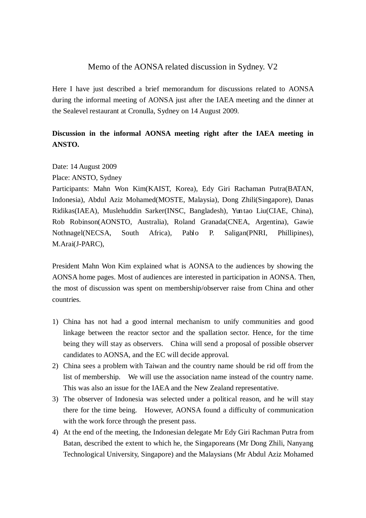## Memo of the AONSA related discussion in Sydney. V2

Here I have just described a brief memorandum for discussions related to AONSA during the informal meeting of AONSA just after the IAEA meeting and the dinner at the Sealevel restaurant at Cronulla, Sydney on 14 August 2009.

## **Discussion in the informal AONSA meeting right after the IAEA meeting in ANSTO.**

Date: 14 August 2009

Place: ANSTO, Sydney

Participants: Mahn Won Kim(KAIST, Korea), Edy Giri Rachaman Putra(BATAN, Indonesia), Abdul Aziz Mohamed(MOSTE, Malaysia), Dong Zhili(Singapore), Danas Ridikas(IAEA), Muslehuddin Sarker(INSC, Bangladesh), Yuntao Liu(CIAE, China), Rob Robinson(AONSTO, Australia), Roland Granada(CNEA, Argentina), Gawie Nothnagel(NECSA, South Africa), Pablo P. Saligan(PNRI, Phillipines), M.Arai(J-PARC),

President Mahn Won Kim explained what is AONSA to the audiences by showing the AONSA home pages. Most of audiences are interested in participation in AONSA. Then, the most of discussion was spent on membership/observer raise from China and other countries.

- 1) China has not had a good internal mechanism to unify communities and good linkage between the reactor sector and the spallation sector. Hence, for the time being they will stay as observers. China will send a proposal of possible observer candidates to AONSA, and the EC will decide approval.
- 2) China sees a problem with Taiwan and the country name should be rid off from the list of membership. We will use the association name instead of the country name. This was also an issue for the IAEA and the New Zealand representative.
- 3) The observer of Indonesia was selected under a political reason, and he will stay there for the time being. However, AONSA found a difficulty of communication with the work force through the present pass.
- 4) At the end of the meeting, the Indonesian delegate Mr Edy Giri Rachman Putra from Batan, described the extent to which he, the Singaporeans (Mr Dong Zhili, Nanyang Technological University, Singapore) and the Malaysians (Mr Abdul Aziz Mohamed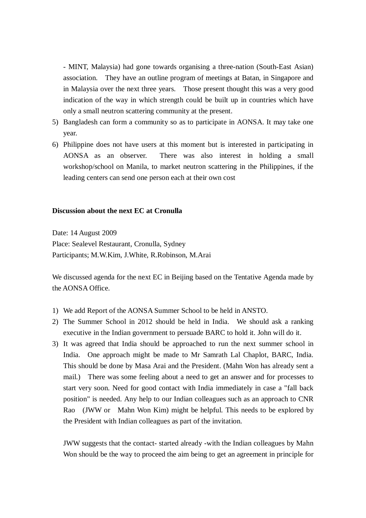- MINT, Malaysia) had gone towards organising a three-nation (South-East Asian) association. They have an outline program of meetings at Batan, in Singapore and in Malaysia over the next three years. Those present thought this was a very good indication of the way in which strength could be built up in countries which have only a small neutron scattering community at the present.

- 5) Bangladesh can form a community so as to participate in AONSA. It may take one year.
- 6) Philippine does not have users at this moment but is interested in participating in AONSA as an observer. There was also interest in holding a small workshop/school on Manila, to market neutron scattering in the Philippines, if the leading centers can send one person each at their own cost

## **Discussion about the next EC at Cronulla**

Date: 14 August 2009

Place: Sealevel Restaurant, Cronulla, Sydney Participants; M.W.Kim, J.White, R.Robinson, M.Arai

We discussed agenda for the next EC in Beijing based on the Tentative Agenda made by the AONSA Office.

- 1) We add Report of the AONSA Summer School to be held in ANSTO.
- 2) The Summer School in 2012 should be held in India. We should ask a ranking executive in the Indian government to persuade BARC to hold it. John will do it.
- 3) It was agreed that India should be approached to run the next summer school in India. One approach might be made to Mr Samrath Lal Chaplot, BARC, India. This should be done by Masa Arai and the President. (Mahn Won has already sent a mail.) There was some feeling about a need to get an answer and for processes to start very soon. Need for good contact with India immediately in case a "fall back position" is needed. Any help to our Indian colleagues such as an approach to CNR Rao (JWW or Mahn Won Kim) might be helpful. This needs to be explored by the President with Indian colleagues as part of the invitation.

JWW suggests that the contact- started already -with the Indian colleagues by Mahn Won should be the way to proceed the aim being to get an agreement in principle for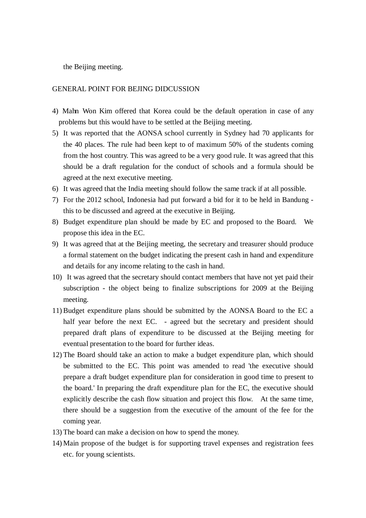the Beijing meeting.

## GENERAL POINT FOR BEJING DIDCUSSION

- 4) Mahn Won Kim offered that Korea could be the default operation in case of any problems but this would have to be settled at the Beijing meeting.
- 5) It was reported that the AONSA school currently in Sydney had 70 applicants for the 40 places. The rule had been kept to of maximum 50% of the students coming from the host country. This was agreed to be a very good rule. It was agreed that this should be a draft regulation for the conduct of schools and a formula should be agreed at the next executive meeting.
- 6) It was agreed that the India meeting should follow the same track if at all possible.
- 7) For the 2012 school, Indonesia had put forward a bid for it to be held in Bandung this to be discussed and agreed at the executive in Beijing.
- 8) Budget expenditure plan should be made by EC and proposed to the Board. We propose this idea in the EC.
- 9) It was agreed that at the Beijing meeting, the secretary and treasurer should produce a formal statement on the budget indicating the present cash in hand and expenditure and details for any income relating to the cash in hand.
- 10) It was agreed that the secretary should contact members that have not yet paid their subscription - the object being to finalize subscriptions for 2009 at the Beijing meeting.
- 11) Budget expenditure plans should be submitted by the AONSA Board to the EC a half year before the next EC. - agreed but the secretary and president should prepared draft plans of expenditure to be discussed at the Beijing meeting for eventual presentation to the board for further ideas.
- 12) The Board should take an action to make a budget expenditure plan, which should be submitted to the EC. This point was amended to read 'the executive should prepare a draft budget expenditure plan for consideration in good time to present to the board.' In preparing the draft expenditure plan for the EC, the executive should explicitly describe the cash flow situation and project this flow. At the same time, there should be a suggestion from the executive of the amount of the fee for the coming year.
- 13) The board can make a decision on how to spend the money.
- 14) Main propose of the budget is for supporting travel expenses and registration fees etc. for young scientists.